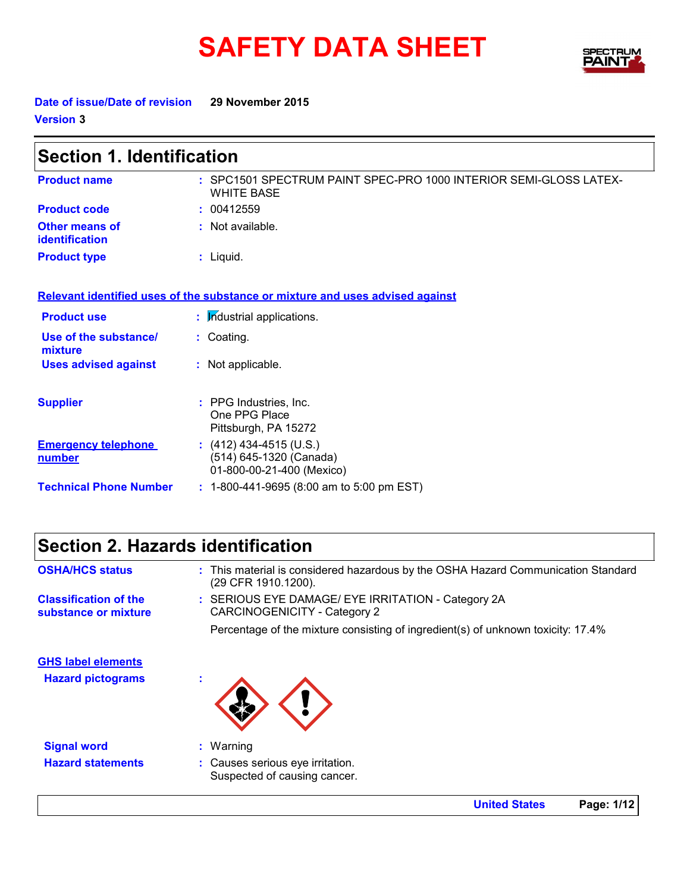# **SAFETY DATA SHEET**



**Date of issue/Date of revision 29 November 2015 Version 3**

 $\mathbf{r}$ 

| Section 1. Identification            |                                                                                        |  |
|--------------------------------------|----------------------------------------------------------------------------------------|--|
| <b>Product name</b>                  | : SPC1501 SPECTRUM PAINT SPEC-PRO 1000 INTERIOR SEMI-GLOSS LATEX-<br><b>WHITE BASE</b> |  |
| <b>Product code</b>                  | : 00412559                                                                             |  |
| Other means of<br>identification     | $:$ Not available.                                                                     |  |
| <b>Product type</b>                  | $:$ Liquid.                                                                            |  |
|                                      | Relevant identified uses of the substance or mixture and uses advised against          |  |
| <b>Product use</b>                   | : Industrial applications.                                                             |  |
| Use of the substance/<br>mixture     | : Coating.                                                                             |  |
| <b>Uses advised against</b>          | : Not applicable.                                                                      |  |
| <b>Supplier</b>                      | : PPG Industries, Inc.<br>One PPG Place<br>Pittsburgh, PA 15272                        |  |
| <b>Emergency telephone</b><br>number | $(412)$ 434-4515 (U.S.)<br>(514) 645-1320 (Canada)<br>01-800-00-21-400 (Mexico)        |  |
| <b>Technical Phone Number</b>        | $: 1-800-441-9695$ (8:00 am to 5:00 pm EST)                                            |  |

### **Section 2. Hazards identification**

| <b>OSHA/HCS status</b>                                | : This material is considered hazardous by the OSHA Hazard Communication Standard<br>(29 CFR 1910.1200). |
|-------------------------------------------------------|----------------------------------------------------------------------------------------------------------|
| <b>Classification of the</b><br>substance or mixture  | : SERIOUS EYE DAMAGE/ EYE IRRITATION - Category 2A<br>CARCINOGENICITY - Category 2                       |
|                                                       | Percentage of the mixture consisting of ingredient(s) of unknown toxicity: 17.4%                         |
| <b>GHS label elements</b><br><b>Hazard pictograms</b> | ×                                                                                                        |
| <b>Signal word</b>                                    | $:$ Warning                                                                                              |
| <b>Hazard statements</b>                              | : Causes serious eye irritation.<br>Suspected of causing cancer.                                         |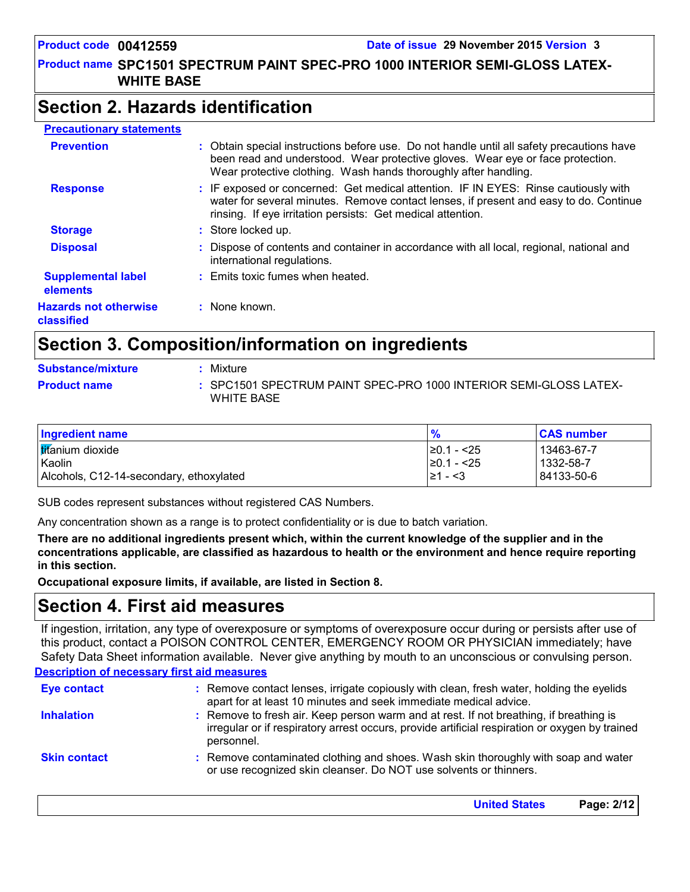**Product name SPC1501 SPECTRUM PAINT SPEC-PRO 1000 INTERIOR SEMI-GLOSS LATEX-WHITE BASE**

### **Section 2. Hazards identification**

| <b>Precautionary statements</b>            |                                                                                                                                                                                                                                                |
|--------------------------------------------|------------------------------------------------------------------------------------------------------------------------------------------------------------------------------------------------------------------------------------------------|
| <b>Prevention</b>                          | : Obtain special instructions before use. Do not handle until all safety precautions have<br>been read and understood. Wear protective gloves. Wear eye or face protection.<br>Wear protective clothing. Wash hands thoroughly after handling. |
| <b>Response</b>                            | : IF exposed or concerned: Get medical attention. IF IN EYES: Rinse cautiously with<br>water for several minutes. Remove contact lenses, if present and easy to do. Continue<br>rinsing. If eye irritation persists: Get medical attention.    |
| <b>Storage</b>                             | : Store locked up.                                                                                                                                                                                                                             |
| <b>Disposal</b>                            | : Dispose of contents and container in accordance with all local, regional, national and<br>international regulations.                                                                                                                         |
| <b>Supplemental label</b><br>elements      | : Emits toxic fumes when heated.                                                                                                                                                                                                               |
| <b>Hazards not otherwise</b><br>classified | : None known.                                                                                                                                                                                                                                  |

### **Section 3. Composition/information on ingredients**

| <b>Substance/mixture</b> | Mixture                                                                         |
|--------------------------|---------------------------------------------------------------------------------|
| <b>Product name</b>      | : SPC1501 SPECTRUM PAINT SPEC-PRO 1000 INTERIOR SEMI-GLOSS LATEX-<br>WHITE BASE |

| <b>Ingredient name</b>                  | $\frac{9}{6}$   | <b>CAS number</b> |
|-----------------------------------------|-----------------|-------------------|
| <b>tifanium</b> dioxide                 | $\geq 0.1 - 25$ | 13463-67-7        |
| <b>Kaolin</b>                           | $\geq 0.1 - 25$ | 1332-58-7         |
| Alcohols, C12-14-secondary, ethoxylated | I≥1 - <3        | 84133-50-6        |

SUB codes represent substances without registered CAS Numbers.

Any concentration shown as a range is to protect confidentiality or is due to batch variation.

**There are no additional ingredients present which, within the current knowledge of the supplier and in the concentrations applicable, are classified as hazardous to health or the environment and hence require reporting in this section.**

**Occupational exposure limits, if available, are listed in Section 8.**

### **Section 4. First aid measures**

If ingestion, irritation, any type of overexposure or symptoms of overexposure occur during or persists after use of this product, contact a POISON CONTROL CENTER, EMERGENCY ROOM OR PHYSICIAN immediately; have Safety Data Sheet information available. Never give anything by mouth to an unconscious or convulsing person.

#### **Description of necessary first aid measures**

| <b>Eye contact</b>  | : Remove contact lenses, irrigate copiously with clean, fresh water, holding the eyelids<br>apart for at least 10 minutes and seek immediate medical advice.                                           |
|---------------------|--------------------------------------------------------------------------------------------------------------------------------------------------------------------------------------------------------|
| <b>Inhalation</b>   | : Remove to fresh air. Keep person warm and at rest. If not breathing, if breathing is<br>irregular or if respiratory arrest occurs, provide artificial respiration or oxygen by trained<br>personnel. |
| <b>Skin contact</b> | : Remove contaminated clothing and shoes. Wash skin thoroughly with soap and water<br>or use recognized skin cleanser. Do NOT use solvents or thinners.                                                |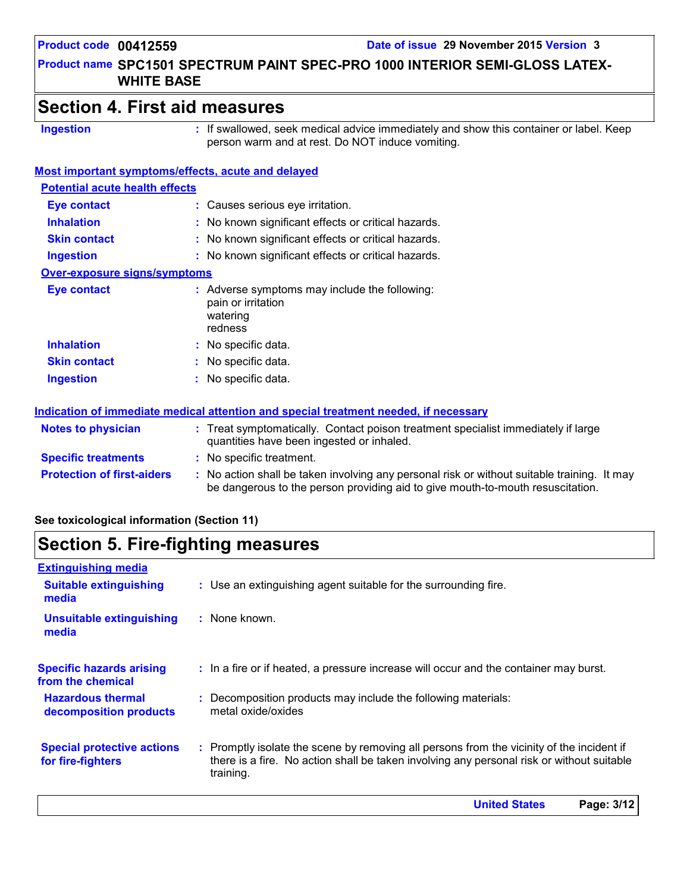#### **Product name SPC1501 SPECTRUM PAINT SPEC-PRO 1000 INTERIOR SEMI-GLOSS LATEX-WHITE BASE**

### **Section 4. First aid measures**

**Ingestion :**

If swallowed, seek medical advice immediately and show this container or label. Keep person warm and at rest. Do NOT induce vomiting.

#### **Most important symptoms/effects, acute and delayed**

### **Potential acute health effects**

| Eye contact                         | : Causes serious eye irritation.                                                           |
|-------------------------------------|--------------------------------------------------------------------------------------------|
| <b>Inhalation</b>                   | : No known significant effects or critical hazards.                                        |
| <b>Skin contact</b>                 | : No known significant effects or critical hazards.                                        |
| <b>Ingestion</b>                    | : No known significant effects or critical hazards.                                        |
| <b>Over-exposure signs/symptoms</b> |                                                                                            |
| Eye contact                         | : Adverse symptoms may include the following:<br>pain or irritation<br>watering<br>redness |
| <b>Inhalation</b>                   | No specific data.                                                                          |
| <b>Skin contact</b>                 | No specific data.                                                                          |
| <b>Ingestion</b>                    | : No specific data.                                                                        |

### **Indication of immediate medical attention and special treatment needed, if necessary**

| <b>Notes to physician</b>         | : Treat symptomatically. Contact poison treatment specialist immediately if large<br>quantities have been ingested or inhaled.                                                |
|-----------------------------------|-------------------------------------------------------------------------------------------------------------------------------------------------------------------------------|
| <b>Specific treatments</b>        | : No specific treatment.                                                                                                                                                      |
| <b>Protection of first-aiders</b> | : No action shall be taken involving any personal risk or without suitable training. It may<br>be dangerous to the person providing aid to give mouth-to-mouth resuscitation. |

**See toxicological information (Section 11)**

### **Section 5. Fire-fighting measures**

| <b>Extinguishing media</b>                             |                                                                                                                                                                                                     |
|--------------------------------------------------------|-----------------------------------------------------------------------------------------------------------------------------------------------------------------------------------------------------|
| <b>Suitable extinguishing</b><br>media                 | : Use an extinguishing agent suitable for the surrounding fire.                                                                                                                                     |
| <b>Unsuitable extinguishing</b><br>media               | : None known.                                                                                                                                                                                       |
| <b>Specific hazards arising</b><br>from the chemical   | : In a fire or if heated, a pressure increase will occur and the container may burst.                                                                                                               |
| <b>Hazardous thermal</b><br>decomposition products     | : Decomposition products may include the following materials:<br>metal oxide/oxides                                                                                                                 |
| <b>Special protective actions</b><br>for fire-fighters | : Promptly isolate the scene by removing all persons from the vicinity of the incident if<br>there is a fire. No action shall be taken involving any personal risk or without suitable<br>training. |
|                                                        | <b>United States</b><br>Page: 3/12                                                                                                                                                                  |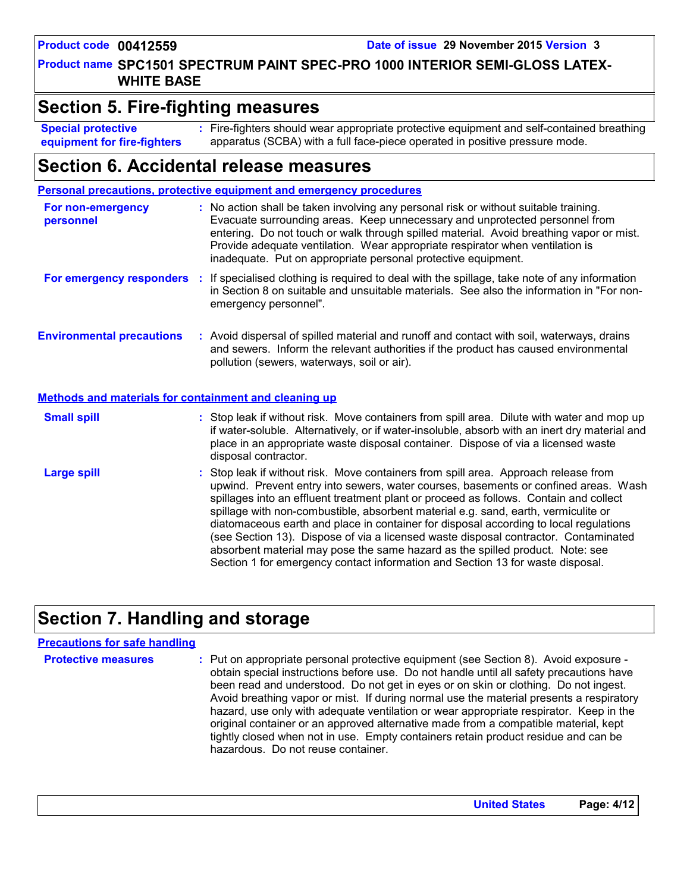#### **Product name SPC1501 SPECTRUM PAINT SPEC-PRO 1000 INTERIOR SEMI-GLOSS LATEX-WHITE BASE**

### **Section 5. Fire-fighting measures**

**Special protective equipment for fire-fighters** Fire-fighters should wear appropriate protective equipment and self-contained breathing **:**

apparatus (SCBA) with a full face-piece operated in positive pressure mode.

### **Section 6. Accidental release measures**

| Personal precautions, protective equipment and emergency procedures |     |                                                                                                                                                                                                                                                                                                                                                                                                                  |
|---------------------------------------------------------------------|-----|------------------------------------------------------------------------------------------------------------------------------------------------------------------------------------------------------------------------------------------------------------------------------------------------------------------------------------------------------------------------------------------------------------------|
| For non-emergency<br>personnel                                      |     | : No action shall be taken involving any personal risk or without suitable training.<br>Evacuate surrounding areas. Keep unnecessary and unprotected personnel from<br>entering. Do not touch or walk through spilled material. Avoid breathing vapor or mist.<br>Provide adequate ventilation. Wear appropriate respirator when ventilation is<br>inadequate. Put on appropriate personal protective equipment. |
| For emergency responders                                            | -11 | If specialised clothing is required to deal with the spillage, take note of any information<br>in Section 8 on suitable and unsuitable materials. See also the information in "For non-<br>emergency personnel".                                                                                                                                                                                                 |
| <b>Environmental precautions</b>                                    |     | Avoid dispersal of spilled material and runoff and contact with soil, waterways, drains<br>and sewers. Inform the relevant authorities if the product has caused environmental<br>pollution (sewers, waterways, soil or air).                                                                                                                                                                                    |

#### **Methods and materials for containment and cleaning up**

| <b>Small spill</b> | : Stop leak if without risk. Move containers from spill area. Dilute with water and mop up<br>if water-soluble. Alternatively, or if water-insoluble, absorb with an inert dry material and<br>place in an appropriate waste disposal container. Dispose of via a licensed waste<br>disposal contractor. |
|--------------------|----------------------------------------------------------------------------------------------------------------------------------------------------------------------------------------------------------------------------------------------------------------------------------------------------------|
| Large spill        | : Stop leak if without risk. Move containers from spill area. Approach release from                                                                                                                                                                                                                      |

upwind. Prevent entry into sewers, water courses, basements or confined areas. Wash spillages into an effluent treatment plant or proceed as follows. Contain and collect spillage with non-combustible, absorbent material e.g. sand, earth, vermiculite or diatomaceous earth and place in container for disposal according to local regulations (see Section 13). Dispose of via a licensed waste disposal contractor. Contaminated absorbent material may pose the same hazard as the spilled product. Note: see Section 1 for emergency contact information and Section 13 for waste disposal.

### **Section 7. Handling and storage**

#### **Precautions for safe handling**

**Protective measures** : Put on appropriate personal protective equipment (see Section 8). Avoid exposure obtain special instructions before use. Do not handle until all safety precautions have been read and understood. Do not get in eyes or on skin or clothing. Do not ingest. Avoid breathing vapor or mist. If during normal use the material presents a respiratory hazard, use only with adequate ventilation or wear appropriate respirator. Keep in the original container or an approved alternative made from a compatible material, kept tightly closed when not in use. Empty containers retain product residue and can be hazardous. Do not reuse container.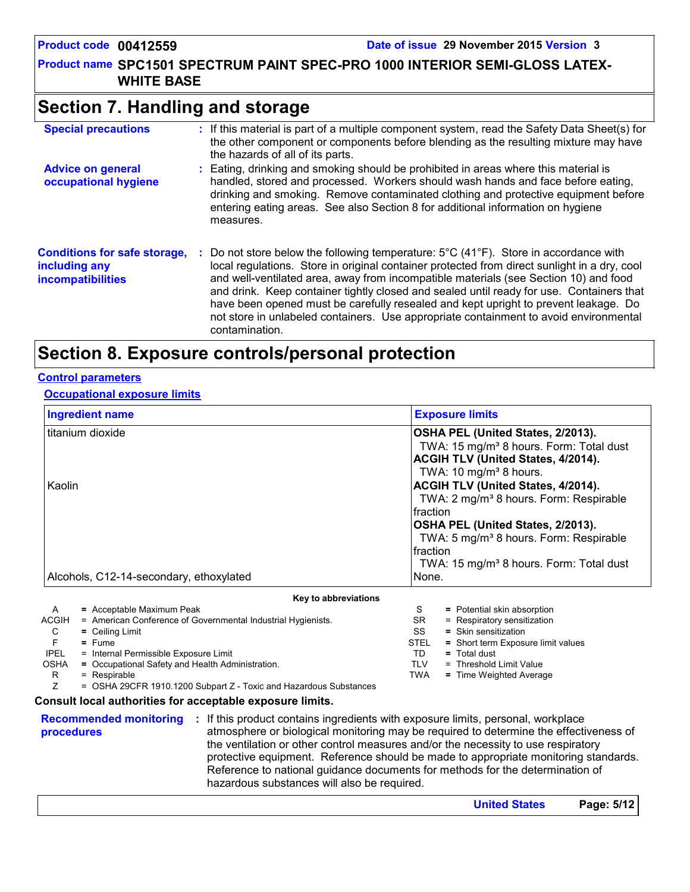#### **Product name SPC1501 SPECTRUM PAINT SPEC-PRO 1000 INTERIOR SEMI-GLOSS LATEX-WHITE BASE**

### **Section 7. Handling and storage**

| <b>Special precautions</b>                                                       | : If this material is part of a multiple component system, read the Safety Data Sheet(s) for<br>the other component or components before blending as the resulting mixture may have<br>the hazards of all of its parts.                                                                                                                                                                                                                                                                                                                                                                         |
|----------------------------------------------------------------------------------|-------------------------------------------------------------------------------------------------------------------------------------------------------------------------------------------------------------------------------------------------------------------------------------------------------------------------------------------------------------------------------------------------------------------------------------------------------------------------------------------------------------------------------------------------------------------------------------------------|
| <b>Advice on general</b><br>occupational hygiene                                 | : Eating, drinking and smoking should be prohibited in areas where this material is<br>handled, stored and processed. Workers should wash hands and face before eating,<br>drinking and smoking. Remove contaminated clothing and protective equipment before<br>entering eating areas. See also Section 8 for additional information on hygiene<br>measures.                                                                                                                                                                                                                                   |
| <b>Conditions for safe storage,</b><br>including any<br><b>incompatibilities</b> | : Do not store below the following temperature: $5^{\circ}$ C (41 $^{\circ}$ F). Store in accordance with<br>local regulations. Store in original container protected from direct sunlight in a dry, cool<br>and well-ventilated area, away from incompatible materials (see Section 10) and food<br>and drink. Keep container tightly closed and sealed until ready for use. Containers that<br>have been opened must be carefully resealed and kept upright to prevent leakage. Do<br>not store in unlabeled containers. Use appropriate containment to avoid environmental<br>contamination. |

### **Section 8. Exposure controls/personal protection**

#### **Control parameters**

#### **Occupational exposure limits**

| <b>Ingredient name</b>                  | <b>Exposure limits</b>                              |
|-----------------------------------------|-----------------------------------------------------|
| titanium dioxide                        | OSHA PEL (United States, 2/2013).                   |
|                                         | TWA: 15 mg/m <sup>3</sup> 8 hours. Form: Total dust |
|                                         | <b>ACGIH TLV (United States, 4/2014).</b>           |
|                                         | TWA: 10 mg/m <sup>3</sup> 8 hours.                  |
| Kaolin                                  | <b>ACGIH TLV (United States, 4/2014).</b>           |
|                                         | TWA: 2 mg/m <sup>3</sup> 8 hours. Form: Respirable  |
|                                         | <b>fraction</b>                                     |
|                                         | <b>OSHA PEL (United States, 2/2013).</b>            |
|                                         | TWA: 5 mg/m <sup>3</sup> 8 hours. Form: Respirable  |
|                                         | <b>Ifraction</b>                                    |
|                                         | TWA: 15 mg/m <sup>3</sup> 8 hours. Form: Total dust |
| Alcohols, C12-14-secondary, ethoxylated | None.                                               |
| Key to abbreviations                    |                                                     |
| A - Assemble Marriagnes Dask            | $\Omega = \Gamma$ attended the second on            |

| A                                                                                                              | = Acceptable Maximum Peak                                           | S           | = Potential skin absorption        |  |  |  |
|----------------------------------------------------------------------------------------------------------------|---------------------------------------------------------------------|-------------|------------------------------------|--|--|--|
| ACGIH                                                                                                          | = American Conference of Governmental Industrial Hygienists.        | SR.         | = Respiratory sensitization        |  |  |  |
| C                                                                                                              | $=$ Ceiling Limit                                                   | SS          | $=$ Skin sensitization             |  |  |  |
| F                                                                                                              | $=$ Fume                                                            | <b>STEL</b> | = Short term Exposure limit values |  |  |  |
| <b>IPEL</b>                                                                                                    | = Internal Permissible Exposure Limit                               | TD          | $=$ Total dust                     |  |  |  |
| <b>OSHA</b>                                                                                                    | = Occupational Safety and Health Administration.                    | <b>TLV</b>  | = Threshold Limit Value            |  |  |  |
| R                                                                                                              | = Respirable                                                        | TWA         | = Time Weighted Average            |  |  |  |
| 7                                                                                                              | $=$ OSHA 29CFR 1910.1200 Subpart Z - Toxic and Hazardous Substances |             |                                    |  |  |  |
| Consult local authorities for acceptable exposure limits.                                                      |                                                                     |             |                                    |  |  |  |
| <b>Recommended monitoring : If this product contains ingredients with exposure limits, personal, workplace</b> |                                                                     |             |                                    |  |  |  |

| <b>procedures</b> | <b>Recommended monitoring</b> : If this product contains ingredients with exposure limits, personal, workplace<br>atmosphere or biological monitoring may be required to determine the effectiveness of<br>the ventilation or other control measures and/or the necessity to use respiratory<br>protective equipment. Reference should be made to appropriate monitoring standards.<br>Reference to national guidance documents for methods for the determination of<br>hazardous substances will also be required. |                      |            |  |
|-------------------|---------------------------------------------------------------------------------------------------------------------------------------------------------------------------------------------------------------------------------------------------------------------------------------------------------------------------------------------------------------------------------------------------------------------------------------------------------------------------------------------------------------------|----------------------|------------|--|
|                   |                                                                                                                                                                                                                                                                                                                                                                                                                                                                                                                     | <b>United States</b> | Page: 5/12 |  |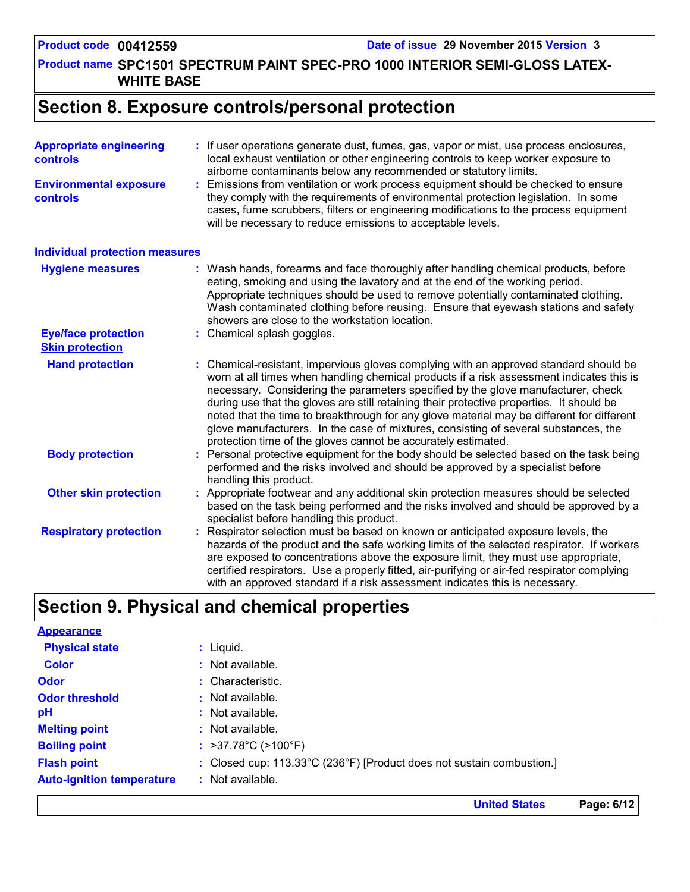**Product name SPC1501 SPECTRUM PAINT SPEC-PRO 1000 INTERIOR SEMI-GLOSS LATEX-WHITE BASE**

### **Section 8. Exposure controls/personal protection**

| <b>Appropriate engineering</b><br>controls           | If user operations generate dust, fumes, gas, vapor or mist, use process enclosures,<br>local exhaust ventilation or other engineering controls to keep worker exposure to<br>airborne contaminants below any recommended or statutory limits.                                                                                                                                                                                                                                                                                                                                                                       |  |  |
|------------------------------------------------------|----------------------------------------------------------------------------------------------------------------------------------------------------------------------------------------------------------------------------------------------------------------------------------------------------------------------------------------------------------------------------------------------------------------------------------------------------------------------------------------------------------------------------------------------------------------------------------------------------------------------|--|--|
| <b>Environmental exposure</b><br><b>controls</b>     | Emissions from ventilation or work process equipment should be checked to ensure<br>they comply with the requirements of environmental protection legislation. In some<br>cases, fume scrubbers, filters or engineering modifications to the process equipment<br>will be necessary to reduce emissions to acceptable levels.                                                                                                                                                                                                                                                                                        |  |  |
| <b>Individual protection measures</b>                |                                                                                                                                                                                                                                                                                                                                                                                                                                                                                                                                                                                                                      |  |  |
| <b>Hygiene measures</b>                              | : Wash hands, forearms and face thoroughly after handling chemical products, before<br>eating, smoking and using the lavatory and at the end of the working period.<br>Appropriate techniques should be used to remove potentially contaminated clothing.<br>Wash contaminated clothing before reusing. Ensure that eyewash stations and safety<br>showers are close to the workstation location.                                                                                                                                                                                                                    |  |  |
| <b>Eye/face protection</b><br><b>Skin protection</b> | : Chemical splash goggles.                                                                                                                                                                                                                                                                                                                                                                                                                                                                                                                                                                                           |  |  |
| <b>Hand protection</b>                               | Chemical-resistant, impervious gloves complying with an approved standard should be<br>worn at all times when handling chemical products if a risk assessment indicates this is<br>necessary. Considering the parameters specified by the glove manufacturer, check<br>during use that the gloves are still retaining their protective properties. It should be<br>noted that the time to breakthrough for any glove material may be different for different<br>glove manufacturers. In the case of mixtures, consisting of several substances, the<br>protection time of the gloves cannot be accurately estimated. |  |  |
| <b>Body protection</b>                               | Personal protective equipment for the body should be selected based on the task being<br>performed and the risks involved and should be approved by a specialist before<br>handling this product.                                                                                                                                                                                                                                                                                                                                                                                                                    |  |  |
| <b>Other skin protection</b>                         | Appropriate footwear and any additional skin protection measures should be selected<br>based on the task being performed and the risks involved and should be approved by a<br>specialist before handling this product.                                                                                                                                                                                                                                                                                                                                                                                              |  |  |
| <b>Respiratory protection</b>                        | Respirator selection must be based on known or anticipated exposure levels, the<br>hazards of the product and the safe working limits of the selected respirator. If workers<br>are exposed to concentrations above the exposure limit, they must use appropriate,<br>certified respirators. Use a properly fitted, air-purifying or air-fed respirator complying<br>with an approved standard if a risk assessment indicates this is necessary.                                                                                                                                                                     |  |  |

## **Section 9. Physical and chemical properties**

|                                  | <b>United States</b>                                                  | Page: 6/12 |
|----------------------------------|-----------------------------------------------------------------------|------------|
| <b>Auto-ignition temperature</b> | : Not available.                                                      |            |
| <b>Flash point</b>               | : Closed cup: 113.33°C (236°F) [Product does not sustain combustion.] |            |
| <b>Boiling point</b>             | : $>37.78^{\circ}$ C ( $>100^{\circ}$ F)                              |            |
| <b>Melting point</b>             | : Not available.                                                      |            |
| рH                               | : Not available.                                                      |            |
| <b>Odor threshold</b>            | $\cdot$ Not available.                                                |            |
| <b>Odor</b>                      | : Characteristic.                                                     |            |
| <b>Color</b>                     | : Not available.                                                      |            |
| <b>Physical state</b>            | $:$ Liquid.                                                           |            |
| <b>Appearance</b>                |                                                                       |            |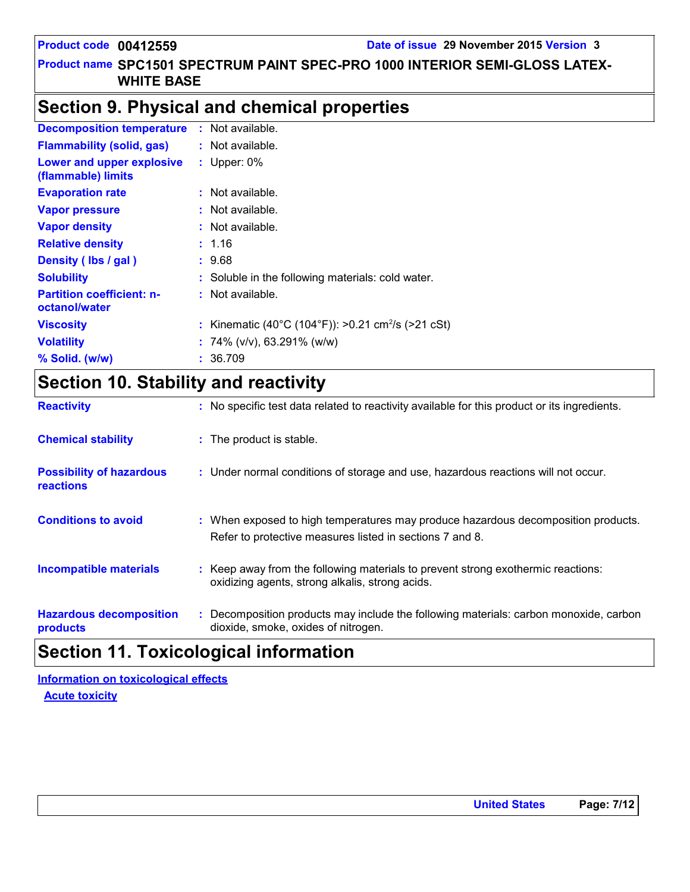#### **Product name SPC1501 SPECTRUM PAINT SPEC-PRO 1000 INTERIOR SEMI-GLOSS LATEX-WHITE BASE**

### **Section 9. Physical and chemical properties**

| <b>Decomposition temperature</b>                  | $:$ Not available.                                             |
|---------------------------------------------------|----------------------------------------------------------------|
| <b>Flammability (solid, gas)</b>                  | : Not available.                                               |
| Lower and upper explosive<br>(flammable) limits   | : Upper: $0\%$                                                 |
| <b>Evaporation rate</b>                           | $:$ Not available.                                             |
| <b>Vapor pressure</b>                             | : Not available.                                               |
| <b>Vapor density</b>                              | : Not available.                                               |
| <b>Relative density</b>                           | : 1.16                                                         |
| Density (Ibs / gal)                               | : 9.68                                                         |
| <b>Solubility</b>                                 | : Soluble in the following materials: cold water.              |
| <b>Partition coefficient: n-</b><br>octanol/water | $:$ Not available.                                             |
| <b>Viscosity</b>                                  | : Kinematic (40°C (104°F)): >0.21 cm <sup>2</sup> /s (>21 cSt) |
| <b>Volatility</b>                                 | : 74% ( $v/v$ ), 63.291% ( $w/w$ )                             |
| % Solid. (w/w)                                    | : 36.709                                                       |

### **Section 10. Stability and reactivity**

| <b>Reactivity</b>                                   | : No specific test data related to reactivity available for this product or its ingredients.                                                  |
|-----------------------------------------------------|-----------------------------------------------------------------------------------------------------------------------------------------------|
| <b>Chemical stability</b>                           | : The product is stable.                                                                                                                      |
| <b>Possibility of hazardous</b><br><b>reactions</b> | : Under normal conditions of storage and use, hazardous reactions will not occur.                                                             |
| <b>Conditions to avoid</b>                          | : When exposed to high temperatures may produce hazardous decomposition products.<br>Refer to protective measures listed in sections 7 and 8. |
| <b>Incompatible materials</b>                       | : Keep away from the following materials to prevent strong exothermic reactions:<br>oxidizing agents, strong alkalis, strong acids.           |
| <b>Hazardous decomposition</b><br>products          | : Decomposition products may include the following materials: carbon monoxide, carbon<br>dioxide, smoke, oxides of nitrogen.                  |

### **Section 11. Toxicological information**

#### **Acute toxicity Information on toxicological effects**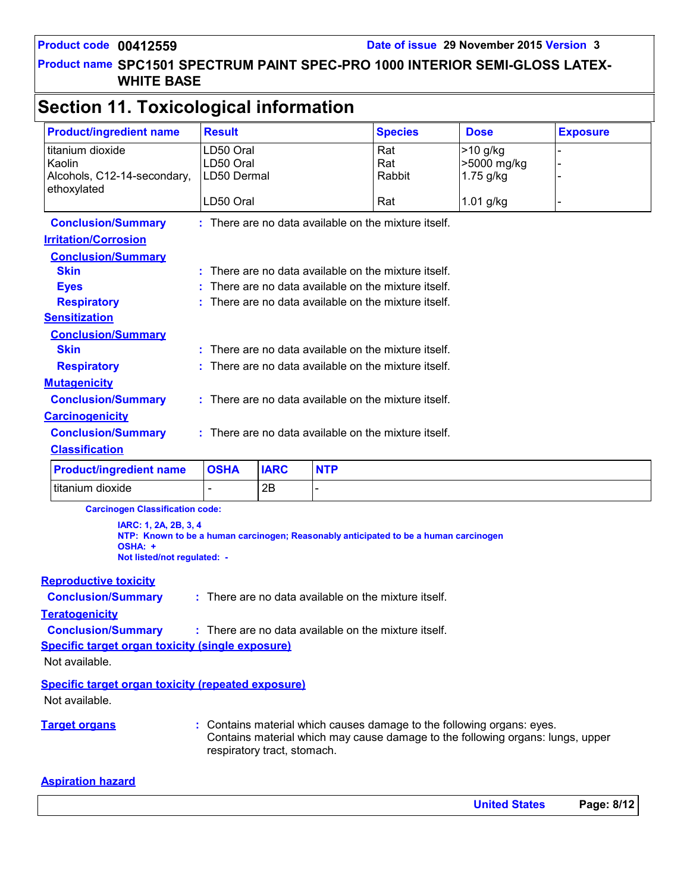#### **Product name SPC1501 SPECTRUM PAINT SPEC-PRO 1000 INTERIOR SEMI-GLOSS LATEX-WHITE BASE**

### **Section 11. Toxicological information**

| <b>Product/ingredient name</b>                                                                                                                          | <b>Result</b>                                      |                                                    |            | <b>Species</b>                                       | <b>Dose</b>                            | <b>Exposure</b> |
|---------------------------------------------------------------------------------------------------------------------------------------------------------|----------------------------------------------------|----------------------------------------------------|------------|------------------------------------------------------|----------------------------------------|-----------------|
| titanium dioxide<br>Kaolin<br>Alcohols, C12-14-secondary,<br>ethoxylated                                                                                | LD50 Oral<br>LD50 Oral<br>LD50 Dermal              |                                                    |            | Rat<br>Rat<br>Rabbit                                 | >10 g/kg<br>>5000 mg/kg<br>$1.75$ g/kg |                 |
|                                                                                                                                                         | LD50 Oral                                          |                                                    |            | Rat                                                  | 1.01 g/kg                              |                 |
| <b>Conclusion/Summary</b>                                                                                                                               |                                                    |                                                    |            | : There are no data available on the mixture itself. |                                        |                 |
| <b>Irritation/Corrosion</b>                                                                                                                             |                                                    |                                                    |            |                                                      |                                        |                 |
| <b>Conclusion/Summary</b>                                                                                                                               |                                                    |                                                    |            |                                                      |                                        |                 |
| <b>Skin</b>                                                                                                                                             |                                                    |                                                    |            | There are no data available on the mixture itself.   |                                        |                 |
| <b>Eyes</b>                                                                                                                                             |                                                    |                                                    |            | There are no data available on the mixture itself.   |                                        |                 |
| <b>Respiratory</b>                                                                                                                                      |                                                    |                                                    |            | There are no data available on the mixture itself.   |                                        |                 |
| <b>Sensitization</b>                                                                                                                                    |                                                    |                                                    |            |                                                      |                                        |                 |
| <b>Conclusion/Summary</b>                                                                                                                               |                                                    |                                                    |            |                                                      |                                        |                 |
| <b>Skin</b>                                                                                                                                             |                                                    | There are no data available on the mixture itself. |            |                                                      |                                        |                 |
| <b>Respiratory</b>                                                                                                                                      | There are no data available on the mixture itself. |                                                    |            |                                                      |                                        |                 |
| <b>Mutagenicity</b>                                                                                                                                     |                                                    |                                                    |            |                                                      |                                        |                 |
| <b>Conclusion/Summary</b>                                                                                                                               |                                                    |                                                    |            | : There are no data available on the mixture itself. |                                        |                 |
| <b>Carcinogenicity</b>                                                                                                                                  |                                                    |                                                    |            |                                                      |                                        |                 |
| <b>Conclusion/Summary</b>                                                                                                                               |                                                    |                                                    |            | : There are no data available on the mixture itself. |                                        |                 |
| <b>Classification</b>                                                                                                                                   |                                                    |                                                    |            |                                                      |                                        |                 |
| <b>Product/ingredient name</b>                                                                                                                          | <b>OSHA</b>                                        | <b>IARC</b>                                        | <b>NTP</b> |                                                      |                                        |                 |
| titanium dioxide                                                                                                                                        | $\overline{\phantom{0}}$                           | 2B                                                 |            |                                                      |                                        |                 |
| <b>Carcinogen Classification code:</b>                                                                                                                  |                                                    |                                                    |            |                                                      |                                        |                 |
| IARC: 1, 2A, 2B, 3, 4<br>NTP: Known to be a human carcinogen; Reasonably anticipated to be a human carcinogen<br>OSHA: +<br>Not listed/not regulated: - |                                                    |                                                    |            |                                                      |                                        |                 |

**Reproductive toxicity**

**Conclusion/Summary :** There are no data available on the mixture itself.

**Teratogenicity**

**Conclusion/Summary :** There are no data available on the mixture itself.

**Specific target organ toxicity (single exposure)**

Not available.

#### **Specific target organ toxicity (repeated exposure)**

Not available.

**Target organs :** Contains material which causes damage to the following organs: eyes. Contains material which may cause damage to the following organs: lungs, upper respiratory tract, stomach.

#### **Aspiration hazard**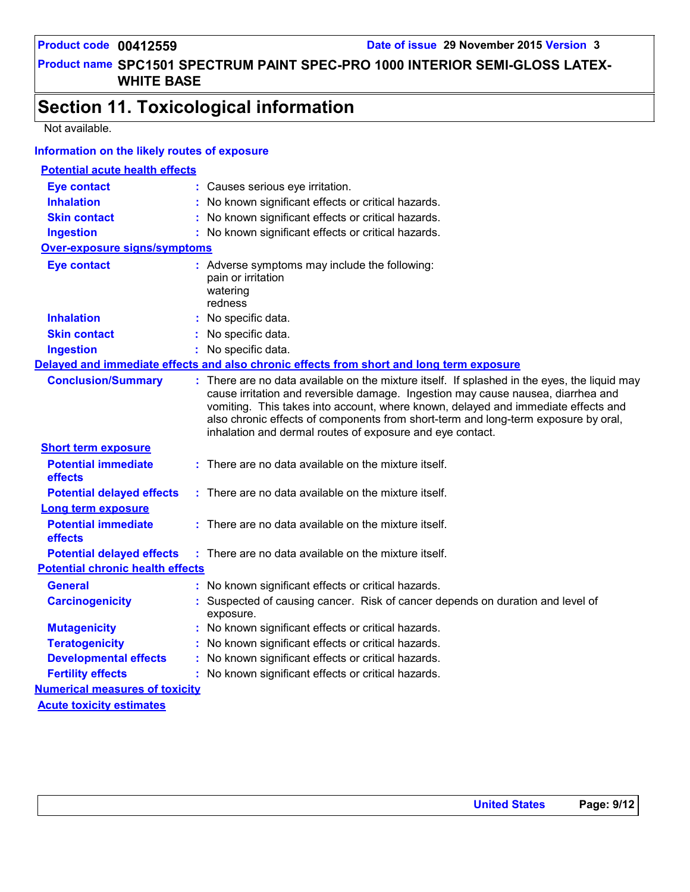#### **Product name SPC1501 SPECTRUM PAINT SPEC-PRO 1000 INTERIOR SEMI-GLOSS LATEX-WHITE BASE**

### **Section 11. Toxicological information**

Not available.

#### **Information on the likely routes of exposure**

#### **Conclusion/Summary : Potential chronic health effects Delayed and immediate effects and also chronic effects from short and long term exposure Potential immediate effects :** There are no data available on the mixture itself. **Short term exposure Potential delayed effects : Potential immediate effects :** There are no data available on the mixture itself. **Long term exposure Potential delayed effects : Potential acute health effects Inhalation <b>:** No known significant effects or critical hazards. **Ingestion :** No known significant effects or critical hazards. **Skin contact :** No known significant effects or critical hazards. **Eye contact :** Causes serious eye irritation. **Over-exposure signs/symptoms Skin contact Ingestion Inhalation :** No specific data. No specific data. **:** No specific data. **: Eye contact :** Adverse symptoms may include the following: pain or irritation watering redness There are no data available on the mixture itself. If splashed in the eyes, the liquid may cause irritation and reversible damage. Ingestion may cause nausea, diarrhea and vomiting. This takes into account, where known, delayed and immediate effects and also chronic effects of components from short-term and long-term exposure by oral, inhalation and dermal routes of exposure and eye contact. . No known significant effects or critical hazards. There are no data available on the mixture itself. There are no data available on the mixture itself.

| <b>Carcinogenicity</b>                | : Suspected of causing cancer. Risk of cancer depends on duration and level of<br>exposure. |
|---------------------------------------|---------------------------------------------------------------------------------------------|
| <b>Mutagenicity</b>                   | : No known significant effects or critical hazards.                                         |
| <b>Teratogenicity</b>                 | : No known significant effects or critical hazards.                                         |
| <b>Developmental effects</b>          | : No known significant effects or critical hazards.                                         |
| <b>Fertility effects</b>              | : No known significant effects or critical hazards.                                         |
| <b>Numerical measures of toxicity</b> |                                                                                             |
|                                       |                                                                                             |

**Acute toxicity estimates**

**General :**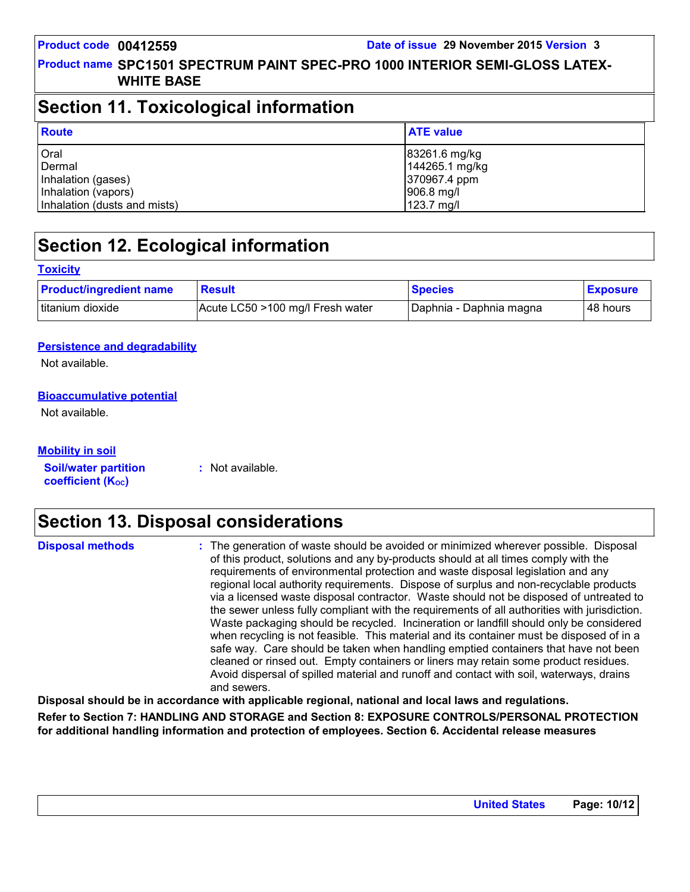#### **Product name SPC1501 SPECTRUM PAINT SPEC-PRO 1000 INTERIOR SEMI-GLOSS LATEX-WHITE BASE**

### **Section 11. Toxicological information**

| <b>Route</b>                 | <b>ATE value</b>      |
|------------------------------|-----------------------|
| Oral                         | 83261.6 mg/kg         |
| Dermal                       | 144265.1 mg/kg        |
| Inhalation (gases)           | 370967.4 ppm          |
| Inhalation (vapors)          | $ 906.8 \text{ mg}/I$ |
| Inhalation (dusts and mists) | 123.7 mg/l            |

### **Section 12. Ecological information**

#### **Toxicity**

| <b>Product/ingredient name</b> | <b>Result</b>                    | <b>Species</b>          | <b>Exposure</b> |
|--------------------------------|----------------------------------|-------------------------|-----------------|
| Ititanium dioxide              | Acute LC50 >100 mg/l Fresh water | Daphnia - Daphnia magna | ⊺48 hours       |

#### **Persistence and degradability**

Not available.

#### **Bioaccumulative potential**

Not available.

| <b>Mobility in soil</b>     |  |
|-----------------------------|--|
| <b>Soil/water partition</b> |  |

**:** Not available.

#### **coefficient (Koc)**

### **Section 13. Disposal considerations**

| <b>Disposal methods</b> | : The generation of waste should be avoided or minimized wherever possible. Disposal<br>of this product, solutions and any by-products should at all times comply with the<br>requirements of environmental protection and waste disposal legislation and any<br>regional local authority requirements. Dispose of surplus and non-recyclable products<br>via a licensed waste disposal contractor. Waste should not be disposed of untreated to<br>the sewer unless fully compliant with the requirements of all authorities with jurisdiction.<br>Waste packaging should be recycled. Incineration or landfill should only be considered<br>when recycling is not feasible. This material and its container must be disposed of in a<br>safe way. Care should be taken when handling emptied containers that have not been<br>cleaned or rinsed out. Empty containers or liners may retain some product residues. |
|-------------------------|---------------------------------------------------------------------------------------------------------------------------------------------------------------------------------------------------------------------------------------------------------------------------------------------------------------------------------------------------------------------------------------------------------------------------------------------------------------------------------------------------------------------------------------------------------------------------------------------------------------------------------------------------------------------------------------------------------------------------------------------------------------------------------------------------------------------------------------------------------------------------------------------------------------------|
|                         | Avoid dispersal of spilled material and runoff and contact with soil, waterways, drains<br>and sewers.                                                                                                                                                                                                                                                                                                                                                                                                                                                                                                                                                                                                                                                                                                                                                                                                              |

**Disposal should be in accordance with applicable regional, national and local laws and regulations.**

**Refer to Section 7: HANDLING AND STORAGE and Section 8: EXPOSURE CONTROLS/PERSONAL PROTECTION for additional handling information and protection of employees. Section 6. Accidental release measures**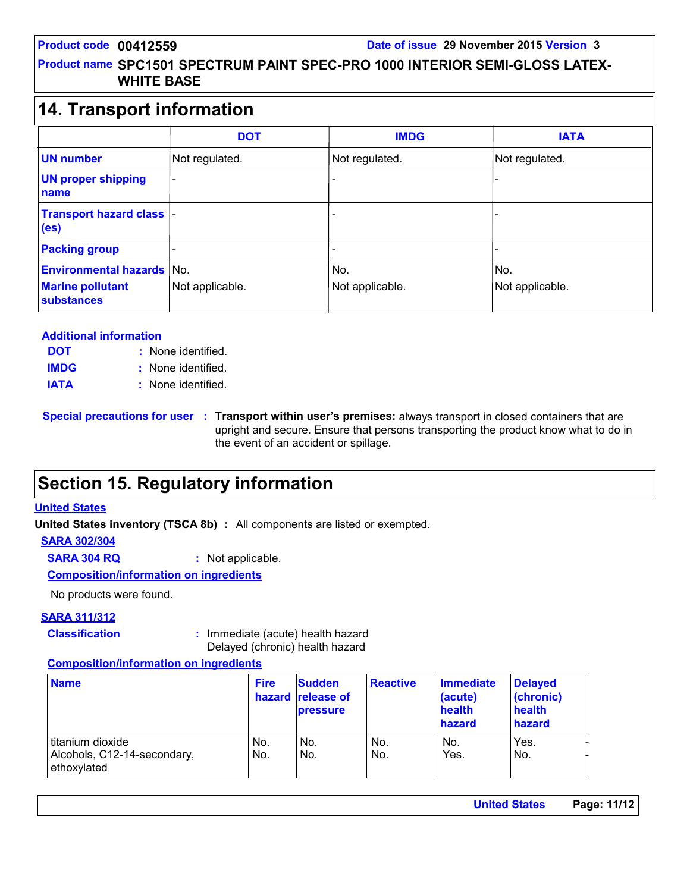#### **Product name SPC1501 SPECTRUM PAINT SPEC-PRO 1000 INTERIOR SEMI-GLOSS LATEX-WHITE BASE**

### **14. Transport information**

|                                                                       | <b>DOT</b>             | <b>IMDG</b>            | <b>IATA</b>            |
|-----------------------------------------------------------------------|------------------------|------------------------|------------------------|
| <b>UN number</b>                                                      | Not regulated.         | Not regulated.         | Not regulated.         |
| <b>UN proper shipping</b><br>name                                     |                        |                        |                        |
| <b>Transport hazard class  -</b><br>(e <sub>s</sub> )                 |                        |                        |                        |
| <b>Packing group</b>                                                  |                        |                        |                        |
| <b>Environmental hazards</b><br><b>Marine pollutant</b><br>substances | No.<br>Not applicable. | No.<br>Not applicable. | No.<br>Not applicable. |

#### **Additional information**

| <b>DOT</b>  | : None identified. |
|-------------|--------------------|
| <b>IMDG</b> | : None identified. |
| <b>IATA</b> | : None identified. |

**Special precautions for user Transport within user's premises:** always transport in closed containers that are **:** upright and secure. Ensure that persons transporting the product know what to do in the event of an accident or spillage.

### **Section 15. Regulatory information**

#### **United States**

**United States inventory (TSCA 8b) :** All components are listed or exempted.

#### **SARA 302/304**

**SARA 304 RQ :** Not applicable.

#### **Composition/information on ingredients**

No products were found.

#### **SARA 311/312**

**Classification :** Immediate (acute) health hazard Delayed (chronic) health hazard

#### **Composition/information on ingredients**

| <b>Name</b>                                                      | <b>Fire</b> | <b>Sudden</b><br>hazard release of<br><b>pressure</b> | <b>Reactive</b> | Immediate<br>(acute)<br>health<br>hazard | Delayed<br>(chronic)<br>health<br>hazard |
|------------------------------------------------------------------|-------------|-------------------------------------------------------|-----------------|------------------------------------------|------------------------------------------|
| l titanium dioxide<br>Alcohols, C12-14-secondary,<br>ethoxylated | No.<br>No.  | No.<br>No.                                            | No.<br>No.      | No.<br>Yes.                              | Yes.<br>No.                              |

| <b>United States</b> | Page: 11/12 |
|----------------------|-------------|